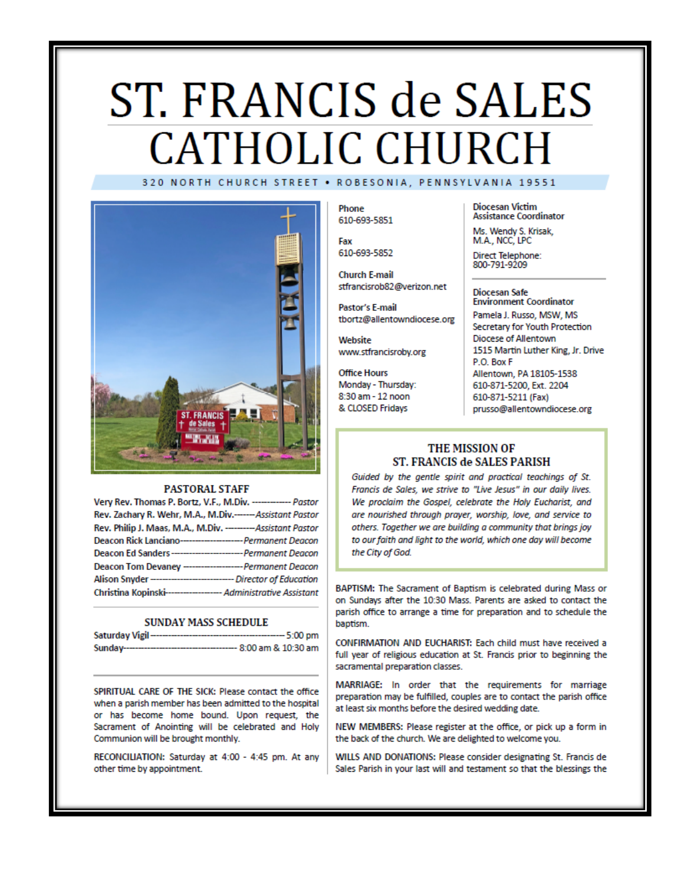# ST. FRANCIS de SALES **CATHOLIC CHURCH** 320 NORTH CHURCH STREET . ROBESONIA, PENNSYLVANIA 19551



#### **PASTORAL STAFF**

| Very Rev. Thomas P. Bortz, V.F., M.Div. ------------- Pastor        |  |
|---------------------------------------------------------------------|--|
| Rev. Zachary R. Wehr, M.A., M.Div.------Assistant Pastor            |  |
| Rev. Philip J. Maas, M.A., M.Div. --------- Assistant Pastor        |  |
| Deacon Rick Lanciano----------------------- Permanent Deacon        |  |
| Deacon Ed Sanders---------------------------- Permanent Deacon      |  |
| Deacon Tom Devaney --------------------- Permanent Deacon           |  |
| Alison Snyder ------------------------------- Director of Education |  |
| Christina Kopinski------------------- Administrative Assistant      |  |

#### **SUNDAY MASS SCHEDULE**

| Saturday Vigil-<br>------------------------ | ---- 5:00 pm           |
|---------------------------------------------|------------------------|
| Sunday--------------------------            | --- 8:00 am & 10:30 am |

SPIRITUAL CARE OF THE SICK: Please contact the office when a parish member has been admitted to the hospital or has become home bound. Upon request, the Sacrament of Anointing will be celebrated and Holy Communion will be brought monthly.

RECONCILIATION: Saturday at 4:00 - 4:45 pm. At any other time by appointment.

Phone 610-693-5851

Fax 610-693-5852

**Church E-mail** stfrancisrob82@verizon.net

Pastor's E-mail tbortz@allentowndiocese.org

Website www.stfrancisroby.org

**Office Hours** Monday - Thursday: 8:30 am - 12 noon & CLOSED Fridays

**Diocesan Victim Assistance Coordinator** 

Ms. Wendy S. Krisak, M.A., NCC, LPC

Direct Telephone:<br>800-791-9209

#### **Diocesan Safe Environment Coordinator**

Pamela J. Russo, MSW, MS Secretary for Youth Protection Diocese of Allentown 1515 Martin Luther King, Jr. Drive P.O. Box F Allentown, PA 18105-1538 610-871-5200, Ext. 2204 610-871-5211 (Fax) prusso@allentowndiocese.org

#### THE MISSION OF ST. FRANCIS de SALES PARISH

Guided by the gentle spirit and practical teachings of St. Francis de Sales, we strive to "Live Jesus" in our daily lives. We proclaim the Gospel, celebrate the Holy Eucharist, and are nourished through prayer, worship, love, and service to others. Together we are building a community that brings joy to our faith and light to the world, which one day will become the City of God.

BAPTISM: The Sacrament of Baptism is celebrated during Mass or on Sundays after the 10:30 Mass. Parents are asked to contact the parish office to arrange a time for preparation and to schedule the baptism.

CONFIRMATION AND EUCHARIST: Each child must have received a full year of religious education at St. Francis prior to beginning the sacramental preparation classes.

MARRIAGE: In order that the requirements for marriage preparation may be fulfilled, couples are to contact the parish office at least six months before the desired wedding date.

NEW MEMBERS: Please register at the office, or pick up a form in the back of the church. We are delighted to welcome you.

WILLS AND DONATIONS: Please consider designating St. Francis de Sales Parish in your last will and testament so that the blessings the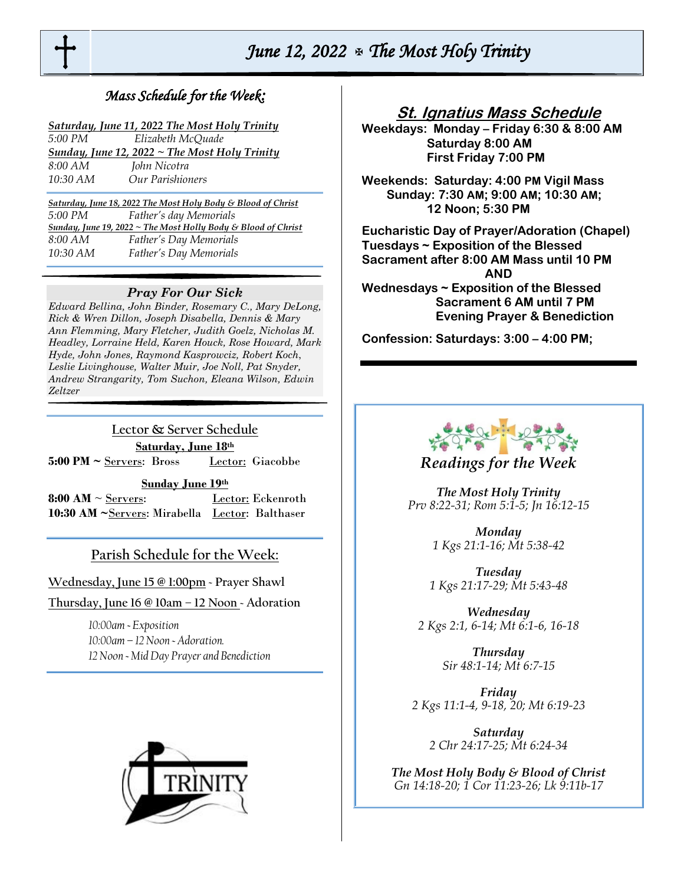

# *June 12, 2022 The Most Holy Trinity*

## *Mass Schedule for the Week:*

| Saturday, June 11, 2022 The Most Holy Trinity |
|-----------------------------------------------|
|-----------------------------------------------|

| 5:00 PM  | Elizabeth McQuade                                    |
|----------|------------------------------------------------------|
|          | <b>Sunday, June 12, 2022 ~ The Most Holy Trinity</b> |
| 8:00 AM  | John Nicotra                                         |
| 10:30 AM | Our Parishioners                                     |

*Saturday, June 18, 2022 The Most Holy Body & Blood of Christ 5:00 PM Father's day Memorials Sunday, June 19, 2022 ~ The Most Holly Body & Blood of Christ 8:00 AM Father's Day Memorials 10:30 AM Father's Day Memorials* 

#### *Pray For Our Sick*

*Edward Bellina, John Binder, Rosemary C., Mary DeLong, Rick & Wren Dillon, Joseph Disabella, Dennis & Mary Ann Flemming, Mary Fletcher, Judith Goelz, Nicholas M. Headley, Lorraine Held, Karen Houck, Rose Howard, Mark Hyde, John Jones, Raymond Kasprowciz, Robert Koch*, *Leslie Livinghouse, Walter Muir, Joe Noll, Pat Snyder, Andrew Strangarity, Tom Suchon, Eleana Wilson, Edwin Zeltzer*

**Lector & Server Schedule Saturday, June 18th**  5:00 PM ~ Servers: Bross Lector: Giacobbe

**Sunday June 19th** 

**8:00 AM**  $\sim$  Servers: Lector: Eckenroth **10:30 AM ~**Servers: Mirabella Lector: Balthaser

## **Parish Schedule for the Week:**

**Wednesday, June 15 @ 1:00pm ~ Prayer Shawl** 

**Thursday, June 16 @ 10am – 12 Noon ~ Adoration**

*10:00am ~ Exposition 10:00am – 12 Noon ~ Adoration. 12 Noon ~ Mid Day Prayer and Benediction* 



## **St. Ignatius Mass Schedule**

**Weekdays: Monday – Friday 6:30 & 8:00 AM Saturday 8:00 AM First Friday 7:00 PM** 

**Weekends: Saturday: 4:00 PM Vigil Mass Sunday: 7:30 AM; 9:00 AM; 10:30 AM; 12 Noon; 5:30 PM** 

**Eucharistic Day of Prayer/Adoration (Chapel) Tuesdays ~ Exposition of the Blessed Sacrament after 8:00 AM Mass until 10 PM AND Wednesdays ~ Exposition of the Blessed Sacrament 6 AM until 7 PM Evening Prayer & Benediction**

**Confession: Saturdays: 3:00 – 4:00 PM;** 



## *Readings for the Week*

*The Most Holy Trinity Prv 8:22-31; Rom 5:1-5; Jn 16:12-15*

> *Monday 1 Kgs 21:1-16; Mt 5:38-42*

*Tuesday 1 Kgs 21:17-29; Mt 5:43-48*

*Wednesday 2 Kgs 2:1, 6-14; Mt 6:1-6, 16-18*

> *Thursday Sir 48:1-14; Mt 6:7-15*

*Friday 2 Kgs 11:1-4, 9-18, 20; Mt 6:19-23*

*Saturday 2 Chr 24:17-25; Mt 6:24-34*

*The Most Holy Body & Blood of Christ Gn 14:18-20; 1 Cor 11:23-26; Lk 9:11b-17*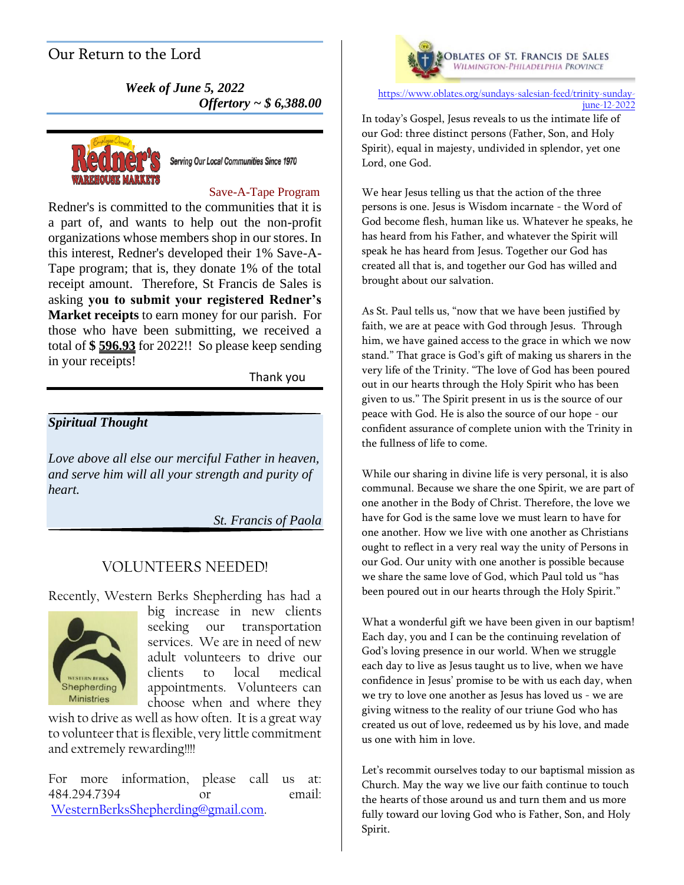# Our Return to the Lord

*Week of June 5, 2022 Offertory ~ \$ 6,388.00*



Serving Our Local Communities Since 1970

#### Save-A-Tape Program

Redner's is committed to the communities that it is a part of, and wants to help out the non-profit organizations whose members shop in our stores. In this interest, Redner's developed their 1% Save-A-Tape program; that is, they donate 1% of the total receipt amount. Therefore, St Francis de Sales is asking **you to submit your registered Redner's Market receipts** to earn money for our parish. For those who have been submitting, we received a total of **\$ 596.93** for 2022!! So please keep sending in your receipts!

Thank you

### *Spiritual Thought*

*Love above all else our merciful Father in heaven, and serve him will all your strength and purity of heart.*

*St. Francis of Paola*

## VOLUNTEERS NEEDED!

Recently, Western Berks Shepherding has had a



big increase in new clients seeking our transportation services. We are in need of new adult volunteers to drive our clients to local medical appointments. Volunteers can choose when and where they

wish to drive as well as how often. It is a great way to volunteer that is flexible, very little commitment and extremely rewarding!!!!

For more information, please call us at: 484.294.7394 or email: [WesternBerksShepherding@gmail.com.](mailto:WesternBerksShepherding@gmail.com)



[https://www.oblates.org/sundays-salesian-feed/trinity-sunday](https://www.oblates.org/sundays-salesian-feed/trinity-sunday-june-12-2022)[june-12-2022](https://www.oblates.org/sundays-salesian-feed/trinity-sunday-june-12-2022)

In today's Gospel, Jesus reveals to us the intimate life of our God: three distinct persons (Father, Son, and Holy Spirit), equal in majesty, undivided in splendor, yet one Lord, one God.

We hear Jesus telling us that the action of the three persons is one. Jesus is Wisdom incarnate - the Word of God become flesh, human like us. Whatever he speaks, he has heard from his Father, and whatever the Spirit will speak he has heard from Jesus. Together our God has created all that is, and together our God has willed and brought about our salvation.

As St. Paul tells us, "now that we have been justified by faith, we are at peace with God through Jesus. Through him, we have gained access to the grace in which we now stand." That grace is God's gift of making us sharers in the very life of the Trinity. "The love of God has been poured out in our hearts through the Holy Spirit who has been given to us." The Spirit present in us is the source of our peace with God. He is also the source of our hope - our confident assurance of complete union with the Trinity in the fullness of life to come.

While our sharing in divine life is very personal, it is also communal. Because we share the one Spirit, we are part of one another in the Body of Christ. Therefore, the love we have for God is the same love we must learn to have for one another. How we live with one another as Christians ought to reflect in a very real way the unity of Persons in our God. Our unity with one another is possible because we share the same love of God, which Paul told us "has been poured out in our hearts through the Holy Spirit."

What a wonderful gift we have been given in our baptism! Each day, you and I can be the continuing revelation of God's loving presence in our world. When we struggle each day to live as Jesus taught us to live, when we have confidence in Jesus' promise to be with us each day, when we try to love one another as Jesus has loved us - we are giving witness to the reality of our triune God who has created us out of love, redeemed us by his love, and made us one with him in love.

Let's recommit ourselves today to our baptismal mission as Church. May the way we live our faith continue to touch the hearts of those around us and turn them and us more fully toward our loving God who is Father, Son, and Holy Spirit.